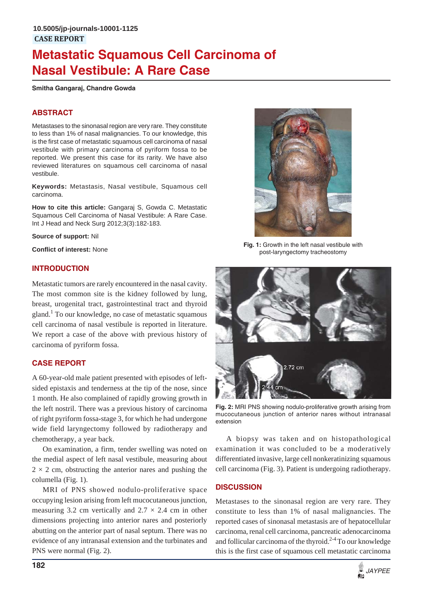# **Metastatic Squamous Cell Carcinoma of Nasal Vestibule: A Rare Case**

**Smitha Gangaraj, Chandre Gowda**

## **ABSTRACT**

Metastases to the sinonasal region are very rare. They constitute to less than 1% of nasal malignancies. To our knowledge, this is the first case of metastatic squamous cell carcinoma of nasal vestibule with primary carcinoma of pyriform fossa to be reported. We present this case for its rarity. We have also reviewed literatures on squamous cell carcinoma of nasal vestibule.

**Keywords:** Metastasis, Nasal vestibule, Squamous cell carcinoma.

**How to cite this article:** Gangaraj S, Gowda C. Metastatic Squamous Cell Carcinoma of Nasal Vestibule: A Rare Case. Int J Head and Neck Surg 2012;3(3):182-183.

**Source of support:** Nil

**Conflict of interest:** None

### **INTRODUCTION**

Metastatic tumors are rarely encountered in the nasal cavity. The most common site is the kidney followed by lung, breast, urogenital tract, gastrointestinal tract and thyroid gland.<sup>1</sup> To our knowledge, no case of metastatic squamous cell carcinoma of nasal vestibule is reported in literature. We report a case of the above with previous history of carcinoma of pyriform fossa.

#### **CASE REPORT**

A 60-year-old male patient presented with episodes of leftsided epistaxis and tenderness at the tip of the nose, since 1 month. He also complained of rapidly growing growth in the left nostril. There was a previous history of carcinoma of right pyriform fossa-stage 3, for which he had undergone wide field laryngectomy followed by radiotherapy and chemotherapy, a year back.

On examination, a firm, tender swelling was noted on the medial aspect of left nasal vestibule, measuring about  $2 \times 2$  cm, obstructing the anterior nares and pushing the columella (Fig. 1).

MRI of PNS showed nodulo-proliferative space occupying lesion arising from left mucocutaneous junction, measuring 3.2 cm vertically and  $2.7 \times 2.4$  cm in other dimensions projecting into anterior nares and posteriorly abutting on the anterior part of nasal septum. There was no evidence of any intranasal extension and the turbinates and PNS were normal (Fig. 2).



**Fig. 1:** Growth in the left nasal vestibule with post-laryngectomy tracheostomy



**Fig. 2:** MRI PNS showing nodulo-proliferative growth arising from mucocutaneous junction of anterior nares without intranasal extension

A biopsy was taken and on histopathological examination it was concluded to be a moderatively differentiated invasive, large cell nonkeratinizing squamous cell carcinoma (Fig. 3). Patient is undergoing radiotherapy.

## **DISCUSSION**

Metastases to the sinonasal region are very rare. They constitute to less than 1% of nasal malignancies. The reported cases of sinonasal metastasis are of hepatocellular carcinoma, renal cell carcinoma, pancreatic adenocarcinoma and follicular carcinoma of the thyroid.<sup>2-4</sup> To our knowledge this is the first case of squamous cell metastatic carcinoma